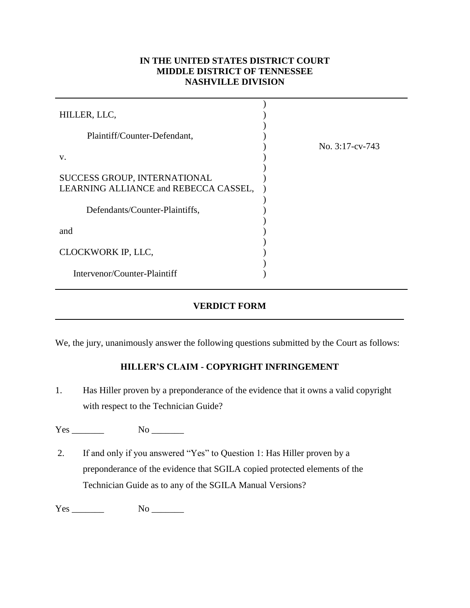## **IN THE UNITED STATES DISTRICT COURT MIDDLE DISTRICT OF TENNESSEE NASHVILLE DIVISION**

| HILLER, LLC,                          |                    |  |
|---------------------------------------|--------------------|--|
| Plaintiff/Counter-Defendant,          |                    |  |
|                                       | No. $3:17$ -cv-743 |  |
| V.                                    |                    |  |
|                                       |                    |  |
| SUCCESS GROUP, INTERNATIONAL          |                    |  |
| LEARNING ALLIANCE and REBECCA CASSEL, |                    |  |
|                                       |                    |  |
| Defendants/Counter-Plaintiffs,        |                    |  |
|                                       |                    |  |
| and                                   |                    |  |
|                                       |                    |  |
| CLOCKWORK IP, LLC,                    |                    |  |
|                                       |                    |  |
| Intervenor/Counter-Plaintiff          |                    |  |

## **VERDICT FORM**

We, the jury, unanimously answer the following questions submitted by the Court as follows:

## **HILLER'S CLAIM - COPYRIGHT INFRINGEMENT**

1. Has Hiller proven by a preponderance of the evidence that it owns a valid copyright with respect to the Technician Guide?

Yes \_\_\_\_\_\_\_ No \_\_\_\_\_\_\_

2. If and only if you answered "Yes" to Question 1: Has Hiller proven by a preponderance of the evidence that SGILA copied protected elements of the Technician Guide as to any of the SGILA Manual Versions?

Yes \_\_\_\_\_\_\_ No \_\_\_\_\_\_\_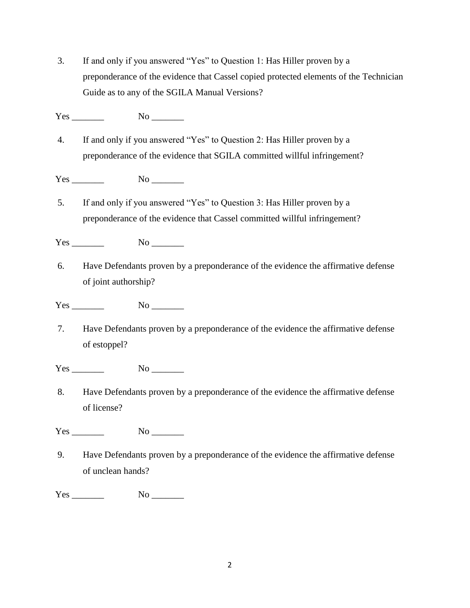3. If and only if you answered "Yes" to Question 1: Has Hiller proven by a preponderance of the evidence that Cassel copied protected elements of the Technician Guide as to any of the SGILA Manual Versions?

Yes \_\_\_\_\_\_\_ No \_\_\_\_\_\_\_

4. If and only if you answered "Yes" to Question 2: Has Hiller proven by a preponderance of the evidence that SGILA committed willful infringement?

Yes \_\_\_\_\_\_\_ No \_\_\_\_\_\_\_

5. If and only if you answered "Yes" to Question 3: Has Hiller proven by a preponderance of the evidence that Cassel committed willful infringement?

Yes No  $\overline{N}$ 

6. Have Defendants proven by a preponderance of the evidence the affirmative defense of joint authorship?

Yes No  $\overline{N}$ 

7. Have Defendants proven by a preponderance of the evidence the affirmative defense of estoppel?

Yes No  $\overline{N}$ 

8. Have Defendants proven by a preponderance of the evidence the affirmative defense of license?

Yes No  $\overline{N}$ 

9. Have Defendants proven by a preponderance of the evidence the affirmative defense of unclean hands?

Yes No  $\overline{N}$